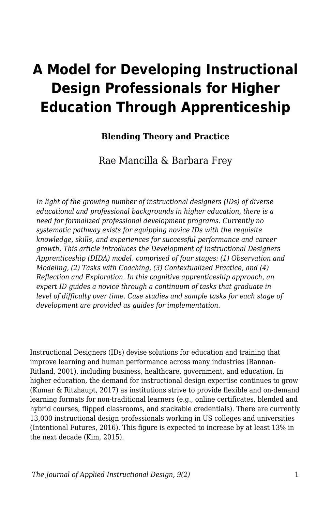# **A Model for Developing Instructional Design Professionals for Higher Education Through Apprenticeship**

#### **Blending Theory and Practice**

Rae Mancilla & Barbara Frey

*In light of the growing number of instructional designers (IDs) of diverse educational and professional backgrounds in higher education, there is a need for formalized professional development programs. Currently no systematic pathway exists for equipping novice IDs with the requisite knowledge, skills, and experiences for successful performance and career growth. This article introduces the Development of Instructional Designers Apprenticeship (DIDA) model, comprised of four stages: (1) Observation and Modeling, (2) Tasks with Coaching, (3) Contextualized Practice, and (4) Reflection and Exploration. In this cognitive apprenticeship approach, an expert ID guides a novice through a continuum of tasks that graduate in level of difficulty over time. Case studies and sample tasks for each stage of development are provided as guides for implementation.*

Instructional Designers (IDs) devise solutions for education and training that improve learning and human performance across many industries (Bannan-Ritland, 2001), including business, healthcare, government, and education. In higher education, the demand for instructional design expertise continues to grow (Kumar & Ritzhaupt, 2017) as institutions strive to provide flexible and on-demand learning formats for non-traditional learners (e.g., online certificates, blended and hybrid courses, flipped classrooms, and stackable credentials). There are currently 13,000 instructional design professionals working in US colleges and universities (Intentional Futures, 2016). This figure is expected to increase by at least 13% in the next decade (Kim, 2015).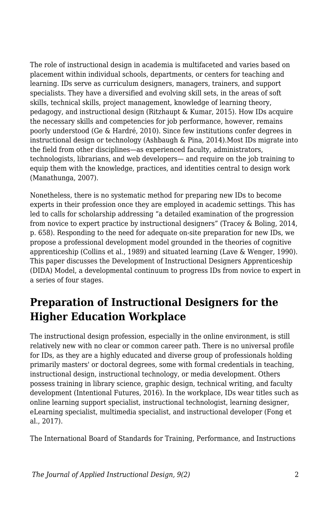The role of instructional design in academia is multifaceted and varies based on placement within individual schools, departments, or centers for teaching and learning. IDs serve as curriculum designers, managers, trainers, and support specialists. They have a diversified and evolving skill sets, in the areas of soft skills, technical skills, project management, knowledge of learning theory, pedagogy, and instructional design (Ritzhaupt & Kumar, 2015). How IDs acquire the necessary skills and competencies for job performance, however, remains poorly understood (Ge & Hardré, 2010). Since few institutions confer degrees in instructional design or technology (Ashbaugh & Pina, 2014).Most IDs migrate into the field from other disciplines—as experienced faculty, administrators, technologists, librarians, and web developers— and require on the job training to equip them with the knowledge, practices, and identities central to design work (Manathunga, 2007).

Nonetheless, there is no systematic method for preparing new IDs to become experts in their profession once they are employed in academic settings. This has led to calls for scholarship addressing "a detailed examination of the progression from novice to expert practice by instructional designers" (Tracey & Boling, 2014, p. 658). Responding to the need for adequate on-site preparation for new IDs, we propose a professional development model grounded in the theories of cognitive apprenticeship (Collins et al., 1989) and situated learning (Lave & Wenger, 1990). This paper discusses the Development of Instructional Designers Apprenticeship (DIDA) Model, a developmental continuum to progress IDs from novice to expert in a series of four stages.

## **Preparation of Instructional Designers for the Higher Education Workplace**

The instructional design profession, especially in the online environment, is still relatively new with no clear or common career path. There is no universal profile for IDs, as they are a highly educated and diverse group of professionals holding primarily masters' or doctoral degrees, some with formal credentials in teaching, instructional design, instructional technology, or media development. Others possess training in library science, graphic design, technical writing, and faculty development (Intentional Futures, 2016). In the workplace, IDs wear titles such as online learning support specialist, instructional technologist, learning designer, eLearning specialist, multimedia specialist, and instructional developer (Fong et al., 2017).

The International Board of Standards for Training, Performance, and Instructions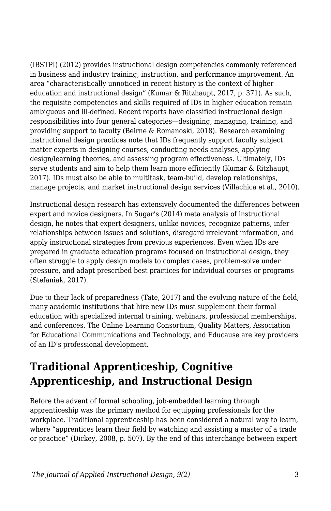(IBSTPI) (2012) provides instructional design competencies commonly referenced in business and industry training, instruction, and performance improvement. An area "characteristically unnoticed in recent history is the context of higher education and instructional design" (Kumar & Ritzhaupt, 2017, p. 371). As such, the requisite competencies and skills required of IDs in higher education remain ambiguous and ill-defined. Recent reports have classified instructional design responsibilities into four general categories—designing, managing, training, and providing support to faculty (Beirne & Romanoski, 2018). Research examining instructional design practices note that IDs frequently support faculty subject matter experts in designing courses, conducting needs analyses, applying design/learning theories, and assessing program effectiveness. Ultimately, IDs serve students and aim to help them learn more efficiently (Kumar & Ritzhaupt, 2017). IDs must also be able to multitask, team-build, develop relationships, manage projects, and market instructional design services (Villachica et al., 2010).

Instructional design research has extensively documented the differences between expert and novice designers. In Sugar's (2014) meta analysis of instructional design, he notes that expert designers, unlike novices, recognize patterns, infer relationships between issues and solutions, disregard irrelevant information, and apply instructional strategies from previous experiences. Even when IDs are prepared in graduate education programs focused on instructional design, they often struggle to apply design models to complex cases, problem-solve under pressure, and adapt prescribed best practices for individual courses or programs (Stefaniak, 2017).

Due to their lack of preparedness (Tate, 2017) and the evolving nature of the field, many academic institutions that hire new IDs must supplement their formal education with specialized internal training, webinars, professional memberships, and conferences. The Online Learning Consortium, Quality Matters, Association for Educational Communications and Technology, and Educause are key providers of an ID's professional development.

### **Traditional Apprenticeship, Cognitive Apprenticeship, and Instructional Design**

Before the advent of formal schooling, job-embedded learning through apprenticeship was the primary method for equipping professionals for the workplace. Traditional apprenticeship has been considered a natural way to learn, where "apprentices learn their field by watching and assisting a master of a trade or practice" (Dickey, 2008, p. 507). By the end of this interchange between expert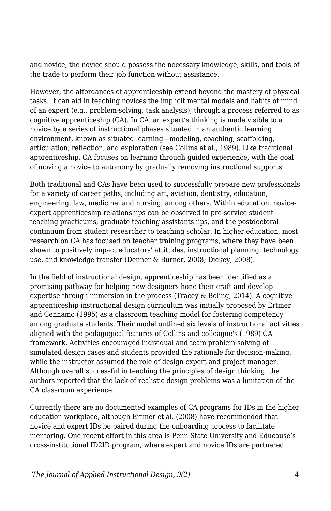and novice, the novice should possess the necessary knowledge, skills, and tools of the trade to perform their job function without assistance.

However, the affordances of apprenticeship extend beyond the mastery of physical tasks. It can aid in teaching novices the implicit mental models and habits of mind of an expert (e.g., problem-solving, task analysis), through a process referred to as cognitive apprenticeship (CA). In CA, an expert's thinking is made visible to a novice by a series of instructional phases situated in an authentic learning environment, known as situated learning—modeling, coaching, scaffolding, articulation, reflection, and exploration (see Collins et al., 1989). Like traditional apprenticeship, CA focuses on learning through guided experience, with the goal of moving a novice to autonomy by gradually removing instructional supports.

Both traditional and CAs have been used to successfully prepare new professionals for a variety of career paths, including art, aviation, dentistry, education, engineering, law, medicine, and nursing, among others. Within education, noviceexpert apprenticeship relationships can be observed in pre-service student teaching practicums, graduate teaching assistantships, and the postdoctoral continuum from student researcher to teaching scholar. In higher education, most research on CA has focused on teacher training programs, where they have been shown to positively impact educators' attitudes, instructional planning, technology use, and knowledge transfer (Denner & Burner, 2008; Dickey, 2008).

In the field of instructional design, apprenticeship has been identified as a promising pathway for helping new designers hone their craft and develop expertise through immersion in the process (Tracey & Boling, 2014). A cognitive apprenticeship instructional design curriculum was initially proposed by Ertmer and Cennamo (1995) as a classroom teaching model for fostering competency among graduate students. Their model outlined six levels of instructional activities aligned with the pedagogical features of Collins and colleague's (1989) CA framework. Activities encouraged individual and team problem-solving of simulated design cases and students provided the rationale for decision-making, while the instructor assumed the role of design expert and project manager. Although overall successful in teaching the principles of design thinking, the authors reported that the lack of realistic design problems was a limitation of the CA classroom experience.

Currently there are no documented examples of CA programs for IDs in the higher education workplace, although Ertmer et al. (2008) have recommended that novice and expert IDs be paired during the onboarding process to facilitate mentoring. One recent effort in this area is Penn State University and Educause's cross-institutional ID2ID program, where expert and novice IDs are partnered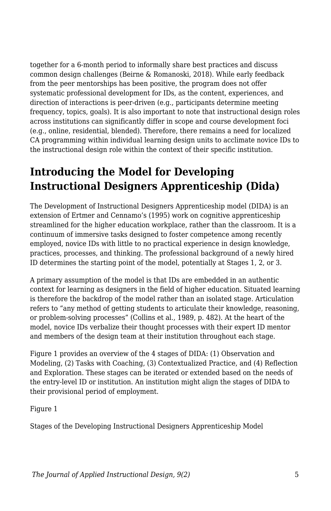together for a 6-month period to informally share best practices and discuss common design challenges (Beirne & Romanoski, 2018). While early feedback from the peer mentorships has been positive, the program does not offer systematic professional development for IDs, as the content, experiences, and direction of interactions is peer-driven (e.g., participants determine meeting frequency, topics, goals). It is also important to note that instructional design roles across institutions can significantly differ in scope and course development foci (e.g., online, residential, blended). Therefore, there remains a need for localized CA programming within individual learning design units to acclimate novice IDs to the instructional design role within the context of their specific institution.

## **Introducing the Model for Developing Instructional Designers Apprenticeship (Dida)**

The Development of Instructional Designers Apprenticeship model (DIDA) is an extension of Ertmer and Cennamo's (1995) work on cognitive apprenticeship streamlined for the higher education workplace, rather than the classroom. It is a continuum of immersive tasks designed to foster competence among recently employed, novice IDs with little to no practical experience in design knowledge, practices, processes, and thinking. The professional background of a newly hired ID determines the starting point of the model, potentially at Stages 1, 2, or 3.

A primary assumption of the model is that IDs are embedded in an authentic context for learning as designers in the field of higher education. Situated learning is therefore the backdrop of the model rather than an isolated stage. Articulation refers to "any method of getting students to articulate their knowledge, reasoning, or problem-solving processes" (Collins et al., 1989, p. 482). At the heart of the model, novice IDs verbalize their thought processes with their expert ID mentor and members of the design team at their institution throughout each stage.

Figure 1 provides an overview of the 4 stages of DIDA: (1) Observation and Modeling, (2) Tasks with Coaching, (3) Contextualized Practice, and (4) Reflection and Exploration. These stages can be iterated or extended based on the needs of the entry-level ID or institution. An institution might align the stages of DIDA to their provisional period of employment.

Figure 1

Stages of the Developing Instructional Designers Apprenticeship Model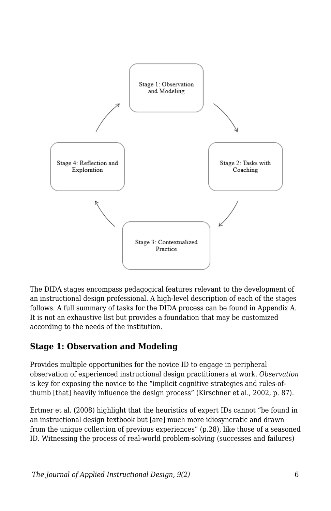

The DIDA stages encompass pedagogical features relevant to the development of an instructional design professional. A high-level description of each of the stages follows. A full summary of tasks for the DIDA process can be found in Appendix A. It is not an exhaustive list but provides a foundation that may be customized according to the needs of the institution.

### **Stage 1: Observation and Modeling**

Provides multiple opportunities for the novice ID to engage in peripheral observation of experienced instructional design practitioners at work. *Observation* is key for exposing the novice to the "implicit cognitive strategies and rules-ofthumb [that] heavily influence the design process" (Kirschner et al., 2002, p. 87).

Ertmer et al. (2008) highlight that the heuristics of expert IDs cannot "be found in an instructional design textbook but [are] much more idiosyncratic and drawn from the unique collection of previous experiences" (p.28), like those of a seasoned ID. Witnessing the process of real-world problem-solving (successes and failures)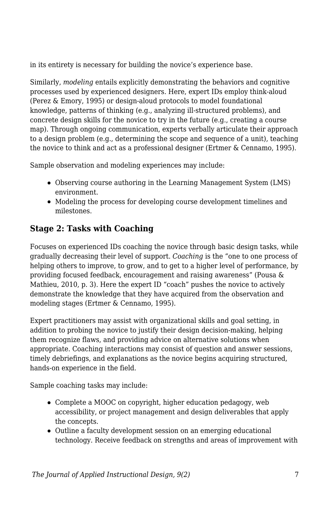in its entirety is necessary for building the novice's experience base.

Similarly, *modeling* entails explicitly demonstrating the behaviors and cognitive processes used by experienced designers. Here, expert IDs employ think-aloud (Perez & Emory, 1995) or design-aloud protocols to model foundational knowledge, patterns of thinking (e.g., analyzing ill-structured problems), and concrete design skills for the novice to try in the future (e.g., creating a course map). Through ongoing communication, experts verbally articulate their approach to a design problem (e.g., determining the scope and sequence of a unit), teaching the novice to think and act as a professional designer (Ertmer & Cennamo, 1995).

Sample observation and modeling experiences may include:

- Observing course authoring in the Learning Management System (LMS) environment.
- Modeling the process for developing course development timelines and milestones.

### **Stage 2: Tasks with Coaching**

Focuses on experienced IDs coaching the novice through basic design tasks, while gradually decreasing their level of support. *Coaching* is the "one to one process of helping others to improve, to grow, and to get to a higher level of performance, by providing focused feedback, encouragement and raising awareness" (Pousa & Mathieu, 2010, p. 3). Here the expert ID "coach" pushes the novice to actively demonstrate the knowledge that they have acquired from the observation and modeling stages (Ertmer & Cennamo, 1995).

Expert practitioners may assist with organizational skills and goal setting, in addition to probing the novice to justify their design decision-making, helping them recognize flaws, and providing advice on alternative solutions when appropriate. Coaching interactions may consist of question and answer sessions, timely debriefings, and explanations as the novice begins acquiring structured, hands-on experience in the field.

Sample coaching tasks may include:

- Complete a MOOC on copyright, higher education pedagogy, web accessibility, or project management and design deliverables that apply the concepts.
- Outline a faculty development session on an emerging educational technology. Receive feedback on strengths and areas of improvement with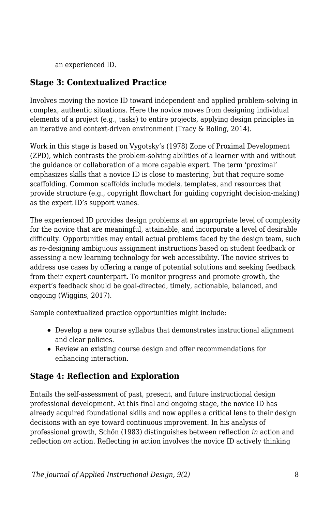an experienced ID.

#### **Stage 3: Contextualized Practice**

Involves moving the novice ID toward independent and applied problem-solving in complex, authentic situations. Here the novice moves from designing individual elements of a project (e.g., tasks) to entire projects, applying design principles in an iterative and context-driven environment (Tracy & Boling, 2014).

Work in this stage is based on Vygotsky's (1978) Zone of Proximal Development (ZPD), which contrasts the problem-solving abilities of a learner with and without the guidance or collaboration of a more capable expert. The term 'proximal' emphasizes skills that a novice ID is close to mastering, but that require some scaffolding. Common scaffolds include models, templates, and resources that provide structure (e.g., copyright flowchart for guiding copyright decision-making) as the expert ID's support wanes.

The experienced ID provides design problems at an appropriate level of complexity for the novice that are meaningful, attainable, and incorporate a level of desirable difficulty. Opportunities may entail actual problems faced by the design team, such as re-designing ambiguous assignment instructions based on student feedback or assessing a new learning technology for web accessibility. The novice strives to address use cases by offering a range of potential solutions and seeking feedback from their expert counterpart. To monitor progress and promote growth, the expert's feedback should be goal-directed, timely, actionable, balanced, and ongoing (Wiggins, 2017).

Sample contextualized practice opportunities might include:

- Develop a new course syllabus that demonstrates instructional alignment and clear policies.
- Review an existing course design and offer recommendations for enhancing interaction.

### **Stage 4: Reflection and Exploration**

Entails the self-assessment of past, present, and future instructional design professional development. At this final and ongoing stage, the novice ID has already acquired foundational skills and now applies a critical lens to their design decisions with an eye toward continuous improvement. In his analysis of professional growth, Schön (1983) distinguishes between reflection *in* action and reflection *on* action. Reflecting *in* action involves the novice ID actively thinking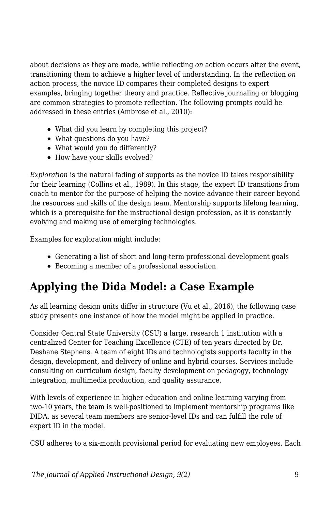about decisions as they are made, while reflecting *on* action occurs after the event, transitioning them to achieve a higher level of understanding. In the reflection *on* action process, the novice ID compares their completed designs to expert examples, bringing together theory and practice. Reflective journaling or blogging are common strategies to promote reflection. The following prompts could be addressed in these entries (Ambrose et al., 2010):

- What did you learn by completing this project?
- What questions do you have?
- What would you do differently?
- How have your skills evolved?

*Exploration* is the natural fading of supports as the novice ID takes responsibility for their learning (Collins et al., 1989). In this stage, the expert ID transitions from coach to mentor for the purpose of helping the novice advance their career beyond the resources and skills of the design team. Mentorship supports lifelong learning, which is a prerequisite for the instructional design profession, as it is constantly evolving and making use of emerging technologies.

Examples for exploration might include:

- Generating a list of short and long-term professional development goals
- Becoming a member of a professional association

## **Applying the Dida Model: a Case Example**

As all learning design units differ in structure (Vu et al., 2016), the following case study presents one instance of how the model might be applied in practice.

Consider Central State University (CSU) a large, research 1 institution with a centralized Center for Teaching Excellence (CTE) of ten years directed by Dr. Deshane Stephens. A team of eight IDs and technologists supports faculty in the design, development, and delivery of online and hybrid courses. Services include consulting on curriculum design, faculty development on pedagogy, technology integration, multimedia production, and quality assurance.

With levels of experience in higher education and online learning varying from two-10 years, the team is well-positioned to implement mentorship programs like DIDA, as several team members are senior-level IDs and can fulfill the role of expert ID in the model.

CSU adheres to a six-month provisional period for evaluating new employees. Each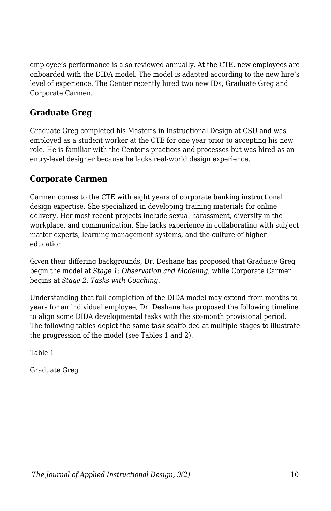employee's performance is also reviewed annually. At the CTE, new employees are onboarded with the DIDA model. The model is adapted according to the new hire's level of experience. The Center recently hired two new IDs, Graduate Greg and Corporate Carmen.

#### **Graduate Greg**

Graduate Greg completed his Master's in Instructional Design at CSU and was employed as a student worker at the CTE for one year prior to accepting his new role. He is familiar with the Center's practices and processes but was hired as an entry-level designer because he lacks real-world design experience.

#### **Corporate Carmen**

Carmen comes to the CTE with eight years of corporate banking instructional design expertise. She specialized in developing training materials for online delivery. Her most recent projects include sexual harassment, diversity in the workplace, and communication. She lacks experience in collaborating with subject matter experts, learning management systems, and the culture of higher education.

Given their differing backgrounds, Dr. Deshane has proposed that Graduate Greg begin the model at *Stage 1: Observation and Modeling*, while Corporate Carmen begins at *Stage 2: Tasks with Coaching*.

Understanding that full completion of the DIDA model may extend from months to years for an individual employee, Dr. Deshane has proposed the following timeline to align some DIDA developmental tasks with the six-month provisional period. The following tables depict the same task scaffolded at multiple stages to illustrate the progression of the model (see Tables 1 and 2).

Table 1

Graduate Greg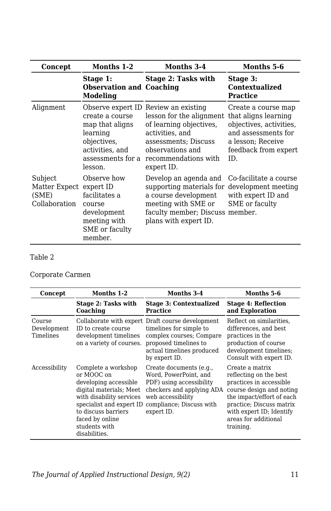| Concept                                                      | Months 1-2                                                                                                       | Months 3-4                                                                                                                                                                                       | Months 5-6                                                                                                                                        |
|--------------------------------------------------------------|------------------------------------------------------------------------------------------------------------------|--------------------------------------------------------------------------------------------------------------------------------------------------------------------------------------------------|---------------------------------------------------------------------------------------------------------------------------------------------------|
|                                                              | Stage 1:<br><b>Observation and Coaching</b><br>Modeling                                                          | Stage 2: Tasks with                                                                                                                                                                              | Stage 3:<br><b>Contextualized</b><br><b>Practice</b>                                                                                              |
| Alignment                                                    | create a course<br>map that aligns<br>learning<br>objectives,<br>activities, and<br>assessments for a<br>lesson. | Observe expert ID Review an existing<br>lesson for the alignment<br>of learning objectives.<br>activities, and<br>assessments; Discuss<br>observations and<br>recommendations with<br>expert ID. | Create a course map<br>that aligns learning<br>objectives, activities,<br>and assessments for<br>a lesson; Receive<br>feedback from expert<br>ID. |
| Subject<br>Matter Expect expert ID<br>(SME)<br>Collaboration | Observe how<br>facilitates a<br>course<br>development<br>meeting with<br>SME or faculty<br>member.               | Develop an agenda and<br>supporting materials for<br>a course development<br>meeting with SME or<br>faculty member; Discuss member.<br>plans with expert ID.                                     | Co-facilitate a course<br>development meeting<br>with expert ID and<br>SME or faculty                                                             |

#### Table 2

#### Corporate Carmen

| Concept                            | Months 1-2                                                                                                                                                                                                                | Months 3-4                                                                                                                                                                     | Months 5-6                                                                                                                                                                                                                 |
|------------------------------------|---------------------------------------------------------------------------------------------------------------------------------------------------------------------------------------------------------------------------|--------------------------------------------------------------------------------------------------------------------------------------------------------------------------------|----------------------------------------------------------------------------------------------------------------------------------------------------------------------------------------------------------------------------|
|                                    | Stage 2: Tasks with<br>Coaching                                                                                                                                                                                           | <b>Stage 3: Contextualized</b><br><b>Practice</b>                                                                                                                              | <b>Stage 4: Reflection</b><br>and Exploration                                                                                                                                                                              |
| Course<br>Development<br>Timelines | ID to create course<br>development timelines<br>on a variety of courses.                                                                                                                                                  | Collaborate with expert Draft course development<br>timelines for simple to<br>complex courses; Compare<br>proposed timelines to<br>actual timelines produced<br>by expert ID. | Reflect on similarities,<br>differences, and best<br>practices in the<br>production of course<br>development timelines;<br>Consult with expert ID.                                                                         |
| Accessibility                      | Complete a workshop<br>or MOOC on<br>developing accessible<br>digital materials; Meet<br>with disability services<br>specialist and expert ID<br>to discuss barriers<br>faced by online<br>students with<br>disabilities. | Create documents (e.g.,<br>Word, PowerPoint, and<br>PDF) using accessibility<br>checkers and applying ADA<br>web accessibility<br>compliance; Discuss with<br>expert ID.       | Create a matrix<br>reflecting on the best<br>practices in accessible<br>course design and noting<br>the impact/effort of each<br>practice; Discuss matrix<br>with expert ID; Identify<br>areas for additional<br>training. |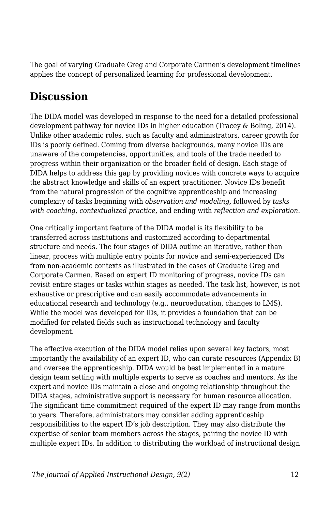The goal of varying Graduate Greg and Corporate Carmen's development timelines applies the concept of personalized learning for professional development.

## **Discussion**

The DIDA model was developed in response to the need for a detailed professional development pathway for novice IDs in higher education (Tracey & Boling, 2014). Unlike other academic roles, such as faculty and administrators, career growth for IDs is poorly defined. Coming from diverse backgrounds, many novice IDs are unaware of the competencies, opportunities, and tools of the trade needed to progress within their organization or the broader field of design. Each stage of DIDA helps to address this gap by providing novices with concrete ways to acquire the abstract knowledge and skills of an expert practitioner. Novice IDs benefit from the natural progression of the cognitive apprenticeship and increasing complexity of tasks beginning with *observation and modeling,* followed by *tasks with coaching*, *contextualized practice*, and ending with *reflection and exploration*.

One critically important feature of the DIDA model is its flexibility to be transferred across institutions and customized according to departmental structure and needs. The four stages of DIDA outline an iterative, rather than linear, process with multiple entry points for novice and semi-experienced IDs from non-academic contexts as illustrated in the cases of Graduate Greg and Corporate Carmen. Based on expert ID monitoring of progress, novice IDs can revisit entire stages or tasks within stages as needed. The task list, however, is not exhaustive or prescriptive and can easily accommodate advancements in educational research and technology (e.g., neuroeducation, changes to LMS). While the model was developed for IDs, it provides a foundation that can be modified for related fields such as instructional technology and faculty development.

The effective execution of the DIDA model relies upon several key factors, most importantly the availability of an expert ID, who can curate resources (Appendix B) and oversee the apprenticeship. DIDA would be best implemented in a mature design team setting with multiple experts to serve as coaches and mentors. As the expert and novice IDs maintain a close and ongoing relationship throughout the DIDA stages, administrative support is necessary for human resource allocation. The significant time commitment required of the expert ID may range from months to years. Therefore, administrators may consider adding apprenticeship responsibilities to the expert ID's job description. They may also distribute the expertise of senior team members across the stages, pairing the novice ID with multiple expert IDs. In addition to distributing the workload of instructional design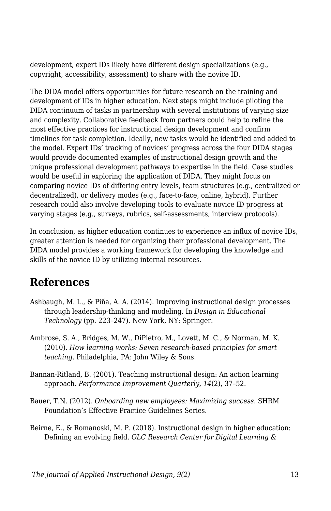development, expert IDs likely have different design specializations (e.g., copyright, accessibility, assessment) to share with the novice ID.

The DIDA model offers opportunities for future research on the training and development of IDs in higher education. Next steps might include piloting the DIDA continuum of tasks in partnership with several institutions of varying size and complexity. Collaborative feedback from partners could help to refine the most effective practices for instructional design development and confirm timelines for task completion. Ideally, new tasks would be identified and added to the model. Expert IDs' tracking of novices' progress across the four DIDA stages would provide documented examples of instructional design growth and the unique professional development pathways to expertise in the field. Case studies would be useful in exploring the application of DIDA. They might focus on comparing novice IDs of differing entry levels, team structures (e.g., centralized or decentralized), or delivery modes (e.g., face-to-face, online, hybrid). Further research could also involve developing tools to evaluate novice ID progress at varying stages (e.g., surveys, rubrics, self-assessments, interview protocols).

In conclusion, as higher education continues to experience an influx of novice IDs, greater attention is needed for organizing their professional development. The DIDA model provides a working framework for developing the knowledge and skills of the novice ID by utilizing internal resources.

### **References**

- Ashbaugh, M. L., & Piña, A. A. (2014). Improving instructional design processes through leadership-thinking and modeling. In *Design in Educational Technology* (pp. 223–247). New York, NY: Springer.
- Ambrose, S. A., Bridges, M. W., DiPietro, M., Lovett, M. C., & Norman, M. K. (2010). *How learning works: Seven research-based principles for smart teaching*. Philadelphia, PA: John Wiley & Sons.
- Bannan-Ritland, B. (2001). Teaching instructional design: An action learning approach. *Performance Improvement Quarterly*, *14*(2), 37–52.
- Bauer, T.N. (2012). *Onboarding new employees: Maximizing success*. SHRM Foundation's Effective Practice Guidelines Series.
- Beirne, E., & Romanoski, M. P. (2018). Instructional design in higher education: Defining an evolving field. *OLC Research Center for Digital Learning &*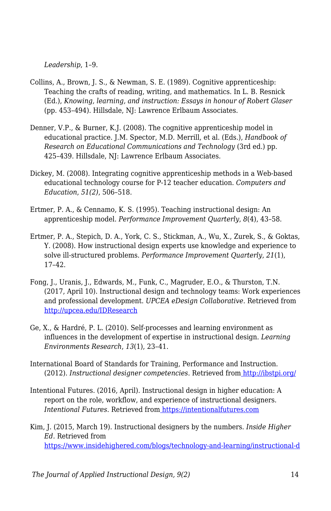*Leadership*, 1–9.

- Collins, A., Brown, J. S., & Newman, S. E. (1989). Cognitive apprenticeship: Teaching the crafts of reading, writing, and mathematics. In L. B. Resnick (Ed.), *Knowing, learning, and instruction: Essays in honour of Robert Glaser* (pp. 453–494). Hillsdale, NJ: Lawrence Erlbaum Associates.
- Denner, V.P., & Burner, K.J. (2008). The cognitive apprenticeship model in educational practice. J.M. Spector, M.D. Merrill, et al. (Eds.), *Handbook of Research on Educational Communications and Technology* (3rd ed.) pp. 425–439. Hillsdale, NJ: Lawrence Erlbaum Associates.
- Dickey, M. (2008). Integrating cognitive apprenticeship methods in a Web-based educational technology course for P-12 teacher education. *Computers and Education*, *51(2)*, 506–518.
- Ertmer, P. A., & Cennamo, K. S. (1995). Teaching instructional design: An apprenticeship model. *Performance Improvement Quarterly*, *8*(4), 43–58.
- Ertmer, P. A., Stepich, D. A., York, C. S., Stickman, A., Wu, X., Zurek, S., & Goktas, Y. (2008). How instructional design experts use knowledge and experience to solve ill-structured problems. *Performance Improvement Quarterly*, *21*(1), 17–42.
- Fong, J., Uranis, J., Edwards, M., Funk, C., Magruder, E.O., & Thurston, T.N. (2017, April 10). Instructional design and technology teams: Work experiences and professional development. *UPCEA eDesign Collaborative*. Retrieved from <http://upcea.edu/IDResearch>
- Ge, X., & Hardré, P. L. (2010). Self-processes and learning environment as influences in the development of expertise in instructional design. *Learning Environments Research*, *13*(1), 23–41.
- International Board of Standards for Training, Performance and Instruction. (2012). *Instructional designer competencies*. Retrieved fro[m http://ibstpi.org/](http://ibstpi.org/)
- Intentional Futures. (2016, April). Instructional design in higher education: A report on the role, workflow, and experience of instructional designers. *Intentional Futures*. Retrieved from [https://intentionalfutures.com](https://intentionalfutures.com/)

Kim, J. (2015, March 19). Instructional designers by the numbers. *Inside Higher Ed.* Retrieved from [https://www.insidehighered.com/blogs/technology-and-learning/instructional-d](https://www.insidehighered.com/blogs/technology-and-learning/instructional-designers-numbers)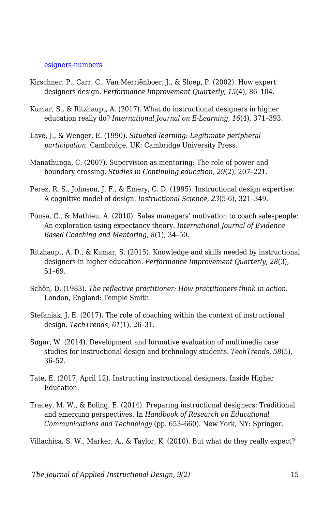[esigners-numbers](https://www.insidehighered.com/blogs/technology-and-learning/instructional-designers-numbers)

- Kirschner, P., Carr, C., Van Merriënboer, J., & Sloep, P. (2002). How expert designers design. *Performance Improvement Quarterly*, *15*(4), 86–104.
- Kumar, S., & Ritzhaupt, A. (2017). What do instructional designers in higher education really do? *International Journal on E-Learning*, *16*(4), 371–393.
- Lave, J., & Wenger, E. (1990). *Situated learning: Legitimate peripheral participation.* Cambridge, UK: Cambridge University Press.
- Manathunga, C. (2007). Supervision as mentoring: The role of power and boundary crossing. *Studies in Continuing education*, *29*(2), 207–221.
- Perez, R. S., Johnson, J. F., & Emery, C. D. (1995). Instructional design expertise: A cognitive model of design. *Instructional Science*, *23*(5-6), 321–349.
- Pousa, C., & Mathieu, A. (2010). Sales managers' motivation to coach salespeople: An exploration using expectancy theory. *International Journal of Evidence Based Coaching and Mentoring*, *8*(1), 34–50.
- Ritzhaupt, A. D., & Kumar, S. (2015). Knowledge and skills needed by instructional designers in higher education. *Performance Improvement Quarterly*, *28*(3), 51–69.
- Schön, D. (1983). *The reflective practitioner: How practitioners think in action*. London, England: Temple Smith.
- Stefaniak, J. E. (2017). The role of coaching within the context of instructional design. *TechTrends*, *61*(1), 26–31.
- Sugar, W. (2014). Development and formative evaluation of multimedia case studies for instructional design and technology students. *TechTrends*, *58*(5), 36–52.
- Tate, E. (2017, April 12). Instructing instructional designers. Inside Higher Education.
- Tracey, M. W., & Boling, E. (2014). Preparing instructional designers: Traditional and emerging perspectives. In *Handbook of Research on Educational Communications and Technology* (pp. 653–660). New York, NY: Springer.

Villachica, S. W., Marker, A., & Taylor, K. (2010). But what do they really expect?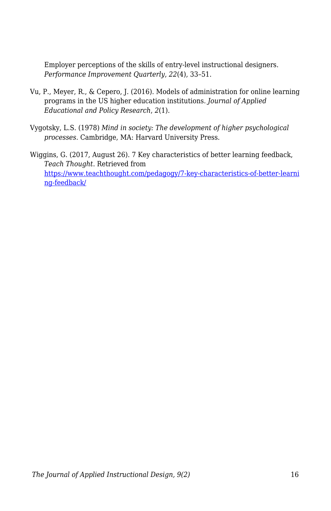Employer perceptions of the skills of entry-level instructional designers. *Performance Improvement Quarterly*, *22*(4), 33–51.

- Vu, P., Meyer, R., & Cepero, J. (2016). Models of administration for online learning programs in the US higher education institutions. *Journal of Applied Educational and Policy Research*, *2*(1).
- Vygotsky, L.S. (1978) *Mind in society: The development of higher psychological processes*. Cambridge, MA: Harvard University Press.

Wiggins, G. (2017, August 26). 7 Key characteristics of better learning feedback, *Teach Thought*. Retrieved from [https://www.teachthought.com/pedagogy/7-key-characteristics-of-better-learni](https://www.teachthought.com/pedagogy/7-key-characteristics-of-better-learning-feedback/) [ng-feedback/](https://www.teachthought.com/pedagogy/7-key-characteristics-of-better-learning-feedback/)